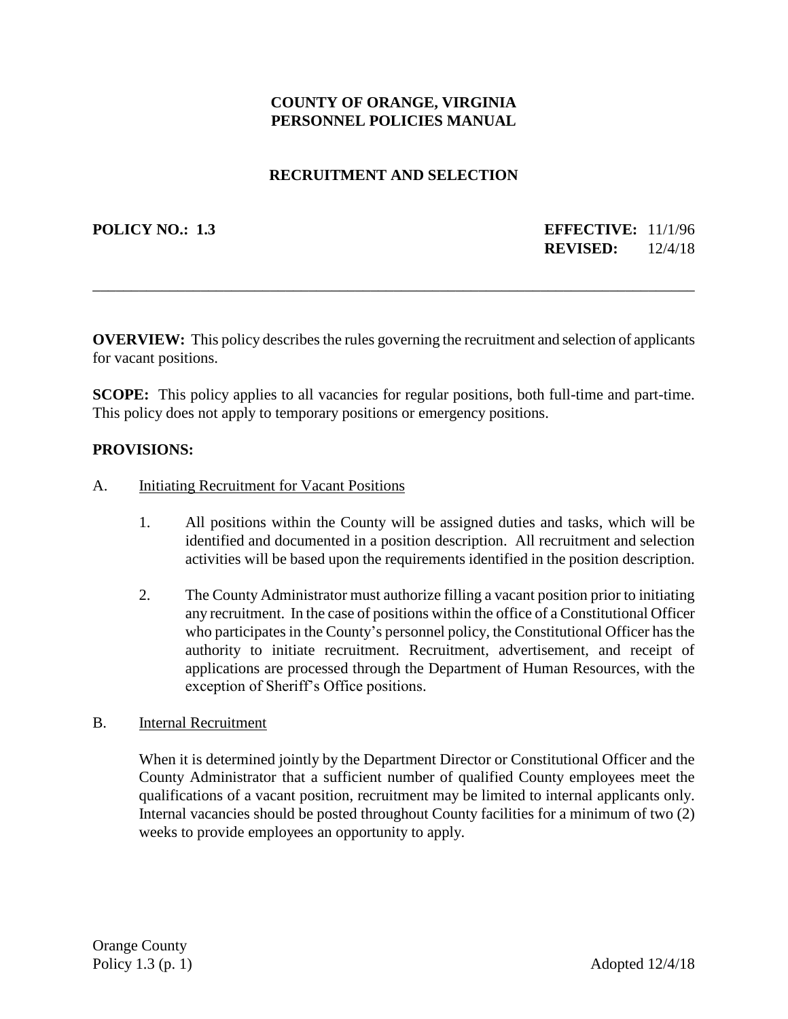# **COUNTY OF ORANGE, VIRGINIA PERSONNEL POLICIES MANUAL**

## **RECRUITMENT AND SELECTION**

## **POLICY NO.: 1.3 EFFECTIVE:** 11/1/96 **REVISED:** 12/4/18

**OVERVIEW:** This policy describes the rules governing the recruitment and selection of applicants for vacant positions.

\_\_\_\_\_\_\_\_\_\_\_\_\_\_\_\_\_\_\_\_\_\_\_\_\_\_\_\_\_\_\_\_\_\_\_\_\_\_\_\_\_\_\_\_\_\_\_\_\_\_\_\_\_\_\_\_\_\_\_\_\_\_\_\_\_\_\_\_\_\_\_\_\_\_\_\_\_\_

**SCOPE:** This policy applies to all vacancies for regular positions, both full-time and part-time. This policy does not apply to temporary positions or emergency positions.

#### **PROVISIONS:**

- A. Initiating Recruitment for Vacant Positions
	- 1. All positions within the County will be assigned duties and tasks, which will be identified and documented in a position description. All recruitment and selection activities will be based upon the requirements identified in the position description.
	- 2. The County Administrator must authorize filling a vacant position prior to initiating any recruitment. In the case of positions within the office of a Constitutional Officer who participates in the County's personnel policy, the Constitutional Officer has the authority to initiate recruitment. Recruitment, advertisement, and receipt of applications are processed through the Department of Human Resources, with the exception of Sheriff's Office positions.

#### B. Internal Recruitment

When it is determined jointly by the Department Director or Constitutional Officer and the County Administrator that a sufficient number of qualified County employees meet the qualifications of a vacant position, recruitment may be limited to internal applicants only. Internal vacancies should be posted throughout County facilities for a minimum of two (2) weeks to provide employees an opportunity to apply.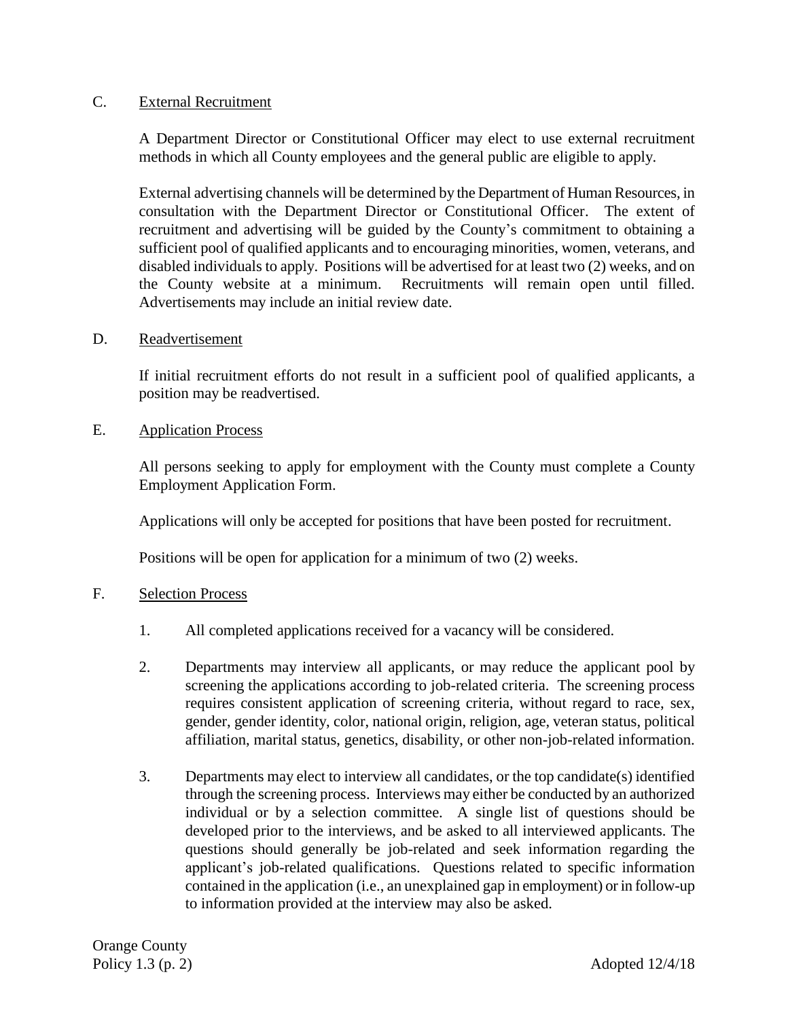#### C. External Recruitment

A Department Director or Constitutional Officer may elect to use external recruitment methods in which all County employees and the general public are eligible to apply.

External advertising channels will be determined by the Department of Human Resources, in consultation with the Department Director or Constitutional Officer. The extent of recruitment and advertising will be guided by the County's commitment to obtaining a sufficient pool of qualified applicants and to encouraging minorities, women, veterans, and disabled individuals to apply. Positions will be advertised for at least two (2) weeks, and on the County website at a minimum. Recruitments will remain open until filled. Advertisements may include an initial review date.

D. Readvertisement

If initial recruitment efforts do not result in a sufficient pool of qualified applicants, a position may be readvertised.

E. Application Process

All persons seeking to apply for employment with the County must complete a County Employment Application Form.

Applications will only be accepted for positions that have been posted for recruitment.

Positions will be open for application for a minimum of two (2) weeks.

- F. Selection Process
	- 1. All completed applications received for a vacancy will be considered.
	- 2. Departments may interview all applicants, or may reduce the applicant pool by screening the applications according to job-related criteria. The screening process requires consistent application of screening criteria, without regard to race, sex, gender, gender identity, color, national origin, religion, age, veteran status, political affiliation, marital status, genetics, disability, or other non-job-related information.
	- 3. Departments may elect to interview all candidates, or the top candidate(s) identified through the screening process. Interviews may either be conducted by an authorized individual or by a selection committee. A single list of questions should be developed prior to the interviews, and be asked to all interviewed applicants. The questions should generally be job-related and seek information regarding the applicant's job-related qualifications. Questions related to specific information contained in the application (i.e., an unexplained gap in employment) or in follow-up to information provided at the interview may also be asked.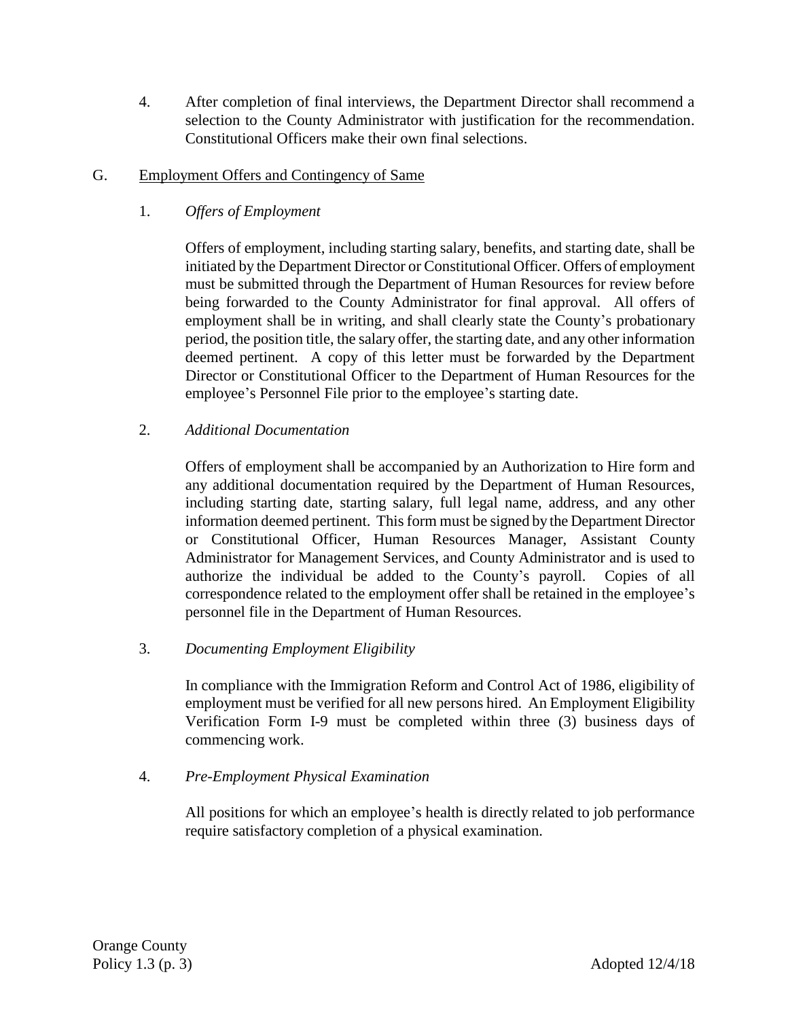- 4. After completion of final interviews, the Department Director shall recommend a selection to the County Administrator with justification for the recommendation. Constitutional Officers make their own final selections.
- G. Employment Offers and Contingency of Same
	- 1. *Offers of Employment*

Offers of employment, including starting salary, benefits, and starting date, shall be initiated by the Department Director or Constitutional Officer. Offers of employment must be submitted through the Department of Human Resources for review before being forwarded to the County Administrator for final approval. All offers of employment shall be in writing, and shall clearly state the County's probationary period, the position title, the salary offer, the starting date, and any other information deemed pertinent. A copy of this letter must be forwarded by the Department Director or Constitutional Officer to the Department of Human Resources for the employee's Personnel File prior to the employee's starting date.

2. *Additional Documentation*

Offers of employment shall be accompanied by an Authorization to Hire form and any additional documentation required by the Department of Human Resources, including starting date, starting salary, full legal name, address, and any other information deemed pertinent. This form must be signed by the Department Director or Constitutional Officer, Human Resources Manager, Assistant County Administrator for Management Services, and County Administrator and is used to authorize the individual be added to the County's payroll. Copies of all correspondence related to the employment offer shall be retained in the employee's personnel file in the Department of Human Resources.

3. *Documenting Employment Eligibility*

In compliance with the Immigration Reform and Control Act of 1986, eligibility of employment must be verified for all new persons hired. An Employment Eligibility Verification Form I-9 must be completed within three (3) business days of commencing work.

4. *Pre-Employment Physical Examination*

All positions for which an employee's health is directly related to job performance require satisfactory completion of a physical examination.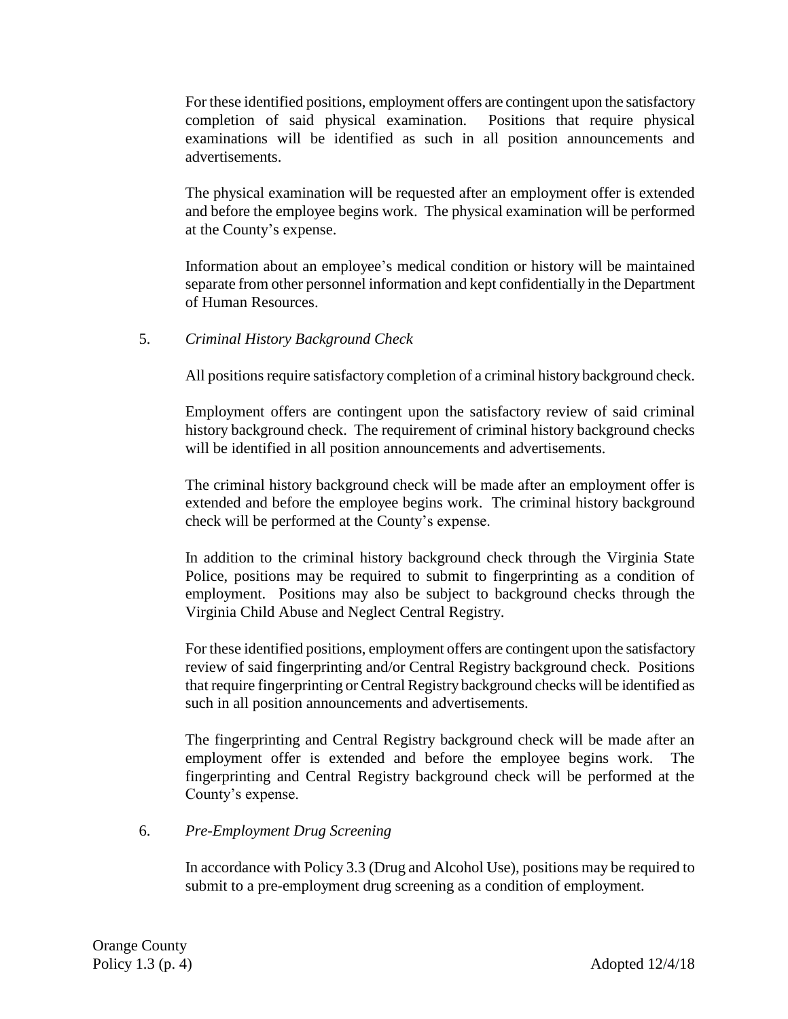For these identified positions, employment offers are contingent upon the satisfactory completion of said physical examination. Positions that require physical examinations will be identified as such in all position announcements and advertisements.

The physical examination will be requested after an employment offer is extended and before the employee begins work. The physical examination will be performed at the County's expense.

Information about an employee's medical condition or history will be maintained separate from other personnel information and kept confidentially in the Department of Human Resources.

#### 5. *Criminal History Background Check*

All positions require satisfactory completion of a criminal history background check.

Employment offers are contingent upon the satisfactory review of said criminal history background check. The requirement of criminal history background checks will be identified in all position announcements and advertisements.

The criminal history background check will be made after an employment offer is extended and before the employee begins work. The criminal history background check will be performed at the County's expense.

In addition to the criminal history background check through the Virginia State Police, positions may be required to submit to fingerprinting as a condition of employment. Positions may also be subject to background checks through the Virginia Child Abuse and Neglect Central Registry.

For these identified positions, employment offers are contingent upon the satisfactory review of said fingerprinting and/or Central Registry background check. Positions that require fingerprinting or Central Registry background checks will be identified as such in all position announcements and advertisements.

The fingerprinting and Central Registry background check will be made after an employment offer is extended and before the employee begins work. The fingerprinting and Central Registry background check will be performed at the County's expense.

#### 6. *Pre-Employment Drug Screening*

In accordance with Policy 3.3 (Drug and Alcohol Use), positions may be required to submit to a pre-employment drug screening as a condition of employment.